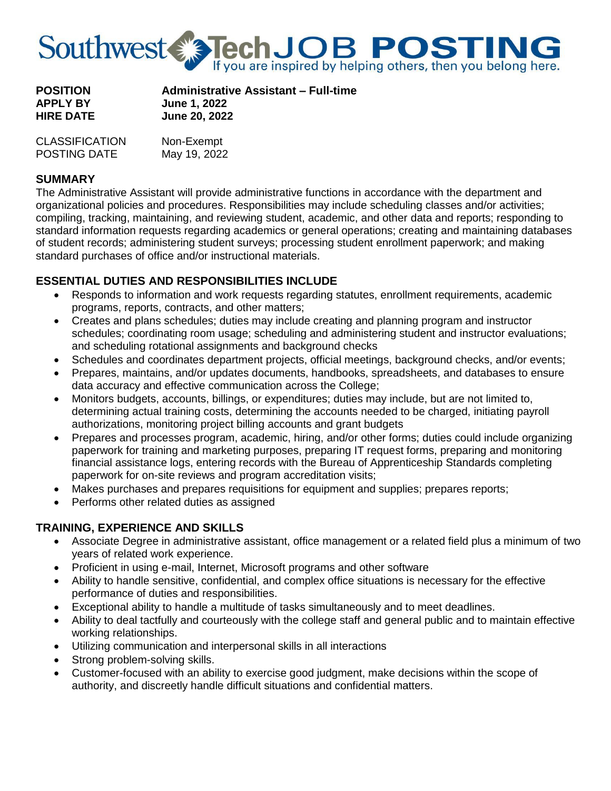

| <b>POSITION</b>  | <b>Administrative Assistant - Full-time</b> |
|------------------|---------------------------------------------|
| <b>APPLY BY</b>  | <b>June 1, 2022</b>                         |
| <b>HIRE DATE</b> | <b>June 20, 2022</b>                        |

| <b>CLASSIFICATION</b> | Non-Exempt   |
|-----------------------|--------------|
| <b>POSTING DATE</b>   | May 19, 2022 |

#### **SUMMARY**

The Administrative Assistant will provide administrative functions in accordance with the department and organizational policies and procedures. Responsibilities may include scheduling classes and/or activities; compiling, tracking, maintaining, and reviewing student, academic, and other data and reports; responding to standard information requests regarding academics or general operations; creating and maintaining databases of student records; administering student surveys; processing student enrollment paperwork; and making standard purchases of office and/or instructional materials.

# **ESSENTIAL DUTIES AND RESPONSIBILITIES INCLUDE**

- Responds to information and work requests regarding statutes, enrollment requirements, academic programs, reports, contracts, and other matters;
- Creates and plans schedules; duties may include creating and planning program and instructor schedules; coordinating room usage; scheduling and administering student and instructor evaluations; and scheduling rotational assignments and background checks
- Schedules and coordinates department projects, official meetings, background checks, and/or events;
- Prepares, maintains, and/or updates documents, handbooks, spreadsheets, and databases to ensure data accuracy and effective communication across the College;
- Monitors budgets, accounts, billings, or expenditures; duties may include, but are not limited to, determining actual training costs, determining the accounts needed to be charged, initiating payroll authorizations, monitoring project billing accounts and grant budgets
- Prepares and processes program, academic, hiring, and/or other forms; duties could include organizing paperwork for training and marketing purposes, preparing IT request forms, preparing and monitoring financial assistance logs, entering records with the Bureau of Apprenticeship Standards completing paperwork for on-site reviews and program accreditation visits;
- Makes purchases and prepares requisitions for equipment and supplies; prepares reports;
- Performs other related duties as assigned

## **TRAINING, EXPERIENCE AND SKILLS**

- Associate Degree in administrative assistant, office management or a related field plus a minimum of two years of related work experience.
- Proficient in using e-mail, Internet, Microsoft programs and other software
- Ability to handle sensitive, confidential, and complex office situations is necessary for the effective performance of duties and responsibilities.
- Exceptional ability to handle a multitude of tasks simultaneously and to meet deadlines.
- Ability to deal tactfully and courteously with the college staff and general public and to maintain effective working relationships.
- Utilizing communication and interpersonal skills in all interactions
- Strong problem-solving skills.
- Customer-focused with an ability to exercise good judgment, make decisions within the scope of authority, and discreetly handle difficult situations and confidential matters.